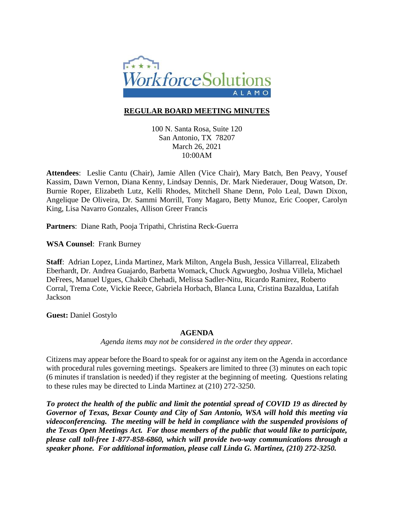

# **REGULAR BOARD MEETING MINUTES**

100 N. Santa Rosa, Suite 120 San Antonio, TX 78207 March 26, 2021 10:00AM

**Attendees**: Leslie Cantu (Chair), Jamie Allen (Vice Chair), Mary Batch, Ben Peavy, Yousef Kassim, Dawn Vernon, Diana Kenny, Lindsay Dennis, Dr. Mark Niederauer, Doug Watson, Dr. Burnie Roper, Elizabeth Lutz, Kelli Rhodes, Mitchell Shane Denn, Polo Leal, Dawn Dixon, Angelique De Oliveira, Dr. Sammi Morrill, Tony Magaro, Betty Munoz, Eric Cooper, Carolyn King, Lisa Navarro Gonzales, Allison Greer Francis

**Partners**: Diane Rath, Pooja Tripathi, Christina Reck-Guerra

**WSA Counsel**: Frank Burney

**Staff**: Adrian Lopez, Linda Martinez, Mark Milton, Angela Bush, Jessica Villarreal, Elizabeth Eberhardt, Dr. Andrea Guajardo, Barbetta Womack, Chuck Agwuegbo, Joshua Villela, Michael DeFrees, Manuel Ugues, Chakib Chehadi, Melissa Sadler-Nitu, Ricardo Ramirez, Roberto Corral, Trema Cote, Vickie Reece, Gabriela Horbach, Blanca Luna, Cristina Bazaldua, Latifah Jackson

**Guest:** Daniel Gostylo

## **AGENDA**

*Agenda items may not be considered in the order they appear.*

Citizens may appear before the Board to speak for or against any item on the Agenda in accordance with procedural rules governing meetings. Speakers are limited to three (3) minutes on each topic (6 minutes if translation is needed) if they register at the beginning of meeting. Questions relating to these rules may be directed to Linda Martinez at (210) 272-3250.

*To protect the health of the public and limit the potential spread of COVID 19 as directed by Governor of Texas, Bexar County and City of San Antonio, WSA will hold this meeting via videoconferencing. The meeting will be held in compliance with the suspended provisions of the Texas Open Meetings Act. For those members of the public that would like to participate, please call toll-free 1-877-858-6860, which will provide two-way communications through a speaker phone. For additional information, please call Linda G. Martinez, (210) 272-3250.*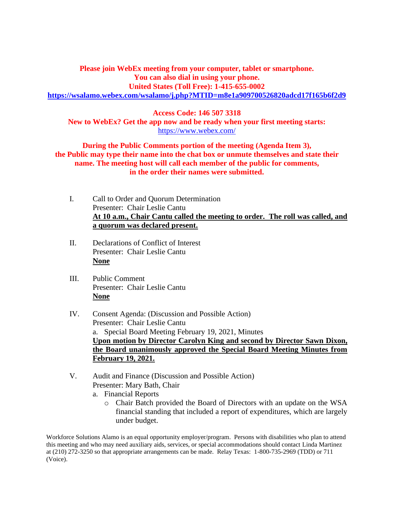**Please join WebEx meeting from your computer, tablet or smartphone. You can also dial in using your phone. United States (Toll Free): 1-415-655-0002 <https://wsalamo.webex.com/wsalamo/j.php?MTID=m8e1a909700526820adcd17f165b6f2d9>**

**Access Code: 146 507 3318 New to WebEx? Get the app now and be ready when your first meeting starts:**  <https://www.webex.com/>

**During the Public Comments portion of the meeting (Agenda Item 3), the Public may type their name into the chat box or unmute themselves and state their name. The meeting host will call each member of the public for comments, in the order their names were submitted.**

- I. Call to Order and Quorum Determination Presenter: Chair Leslie Cantu **At 10 a.m., Chair Cantu called the meeting to order. The roll was called, and a quorum was declared present.**
- II. Declarations of Conflict of Interest Presenter: Chair Leslie Cantu **None**
- III. Public Comment Presenter: Chair Leslie Cantu **None**
- IV. Consent Agenda: (Discussion and Possible Action) Presenter: Chair Leslie Cantu a. Special Board Meeting February 19, 2021, Minutes **Upon motion by Director Carolyn King and second by Director Sawn Dixon, the Board unanimously approved the Special Board Meeting Minutes from February 19, 2021.**
- V. Audit and Finance (Discussion and Possible Action) Presenter: Mary Bath, Chair
	- a. Financial Reports
		- o Chair Batch provided the Board of Directors with an update on the WSA financial standing that included a report of expenditures, which are largely under budget.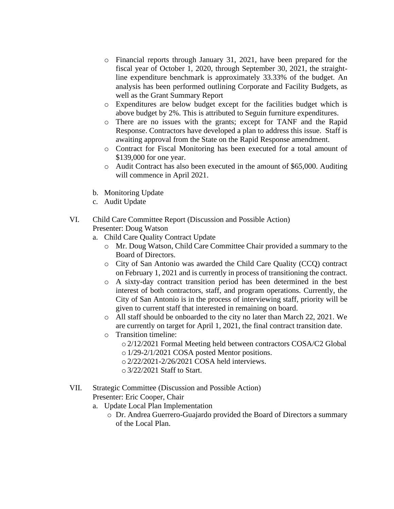- o Financial reports through January 31, 2021, have been prepared for the fiscal year of October 1, 2020, through September 30, 2021, the straightline expenditure benchmark is approximately 33.33% of the budget. An analysis has been performed outlining Corporate and Facility Budgets, as well as the Grant Summary Report
- o Expenditures are below budget except for the facilities budget which is above budget by 2%. This is attributed to Seguin furniture expenditures.
- o There are no issues with the grants; except for TANF and the Rapid Response. Contractors have developed a plan to address this issue. Staff is awaiting approval from the State on the Rapid Response amendment.
- o Contract for Fiscal Monitoring has been executed for a total amount of \$139,000 for one year.
- o Audit Contract has also been executed in the amount of \$65,000. Auditing will commence in April 2021.
- b. Monitoring Update
- c. Audit Update

### VI. Child Care Committee Report (Discussion and Possible Action) Presenter: Doug Watson

- a. Child Care Quality Contract Update
	- o Mr. Doug Watson, Child Care Committee Chair provided a summary to the Board of Directors.
	- o City of San Antonio was awarded the Child Care Quality (CCQ) contract on February 1, 2021 and is currently in process of transitioning the contract.
	- o A sixty-day contract transition period has been determined in the best interest of both contractors, staff, and program operations. Currently, the City of San Antonio is in the process of interviewing staff, priority will be given to current staff that interested in remaining on board.
	- o All staff should be onboarded to the city no later than March 22, 2021. We are currently on target for April 1, 2021, the final contract transition date.
	- o Transition timeline:
		- o 2/12/2021 Formal Meeting held between contractors COSA/C2 Global
		- o 1/29-2/1/2021 COSA posted Mentor positions.
		- o 2/22/2021-2/26/2021 COSA held interviews.
		- o 3/22/2021 Staff to Start.
- VII. Strategic Committee (Discussion and Possible Action)

Presenter: Eric Cooper, Chair

- a. Update Local Plan Implementation
	- o Dr. Andrea Guerrero-Guajardo provided the Board of Directors a summary of the Local Plan.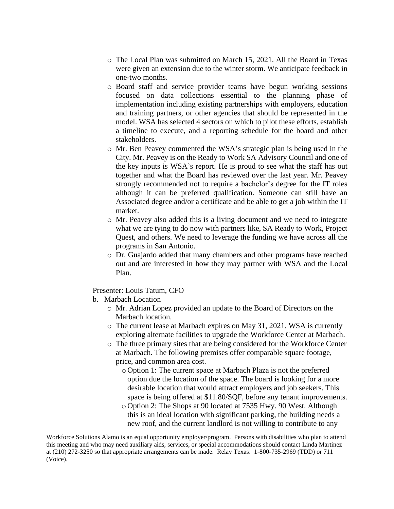- o The Local Plan was submitted on March 15, 2021. All the Board in Texas were given an extension due to the winter storm. We anticipate feedback in one-two months.
- o Board staff and service provider teams have begun working sessions focused on data collections essential to the planning phase of implementation including existing partnerships with employers, education and training partners, or other agencies that should be represented in the model. WSA has selected 4 sectors on which to pilot these efforts, establish a timeline to execute, and a reporting schedule for the board and other stakeholders.
- o Mr. Ben Peavey commented the WSA's strategic plan is being used in the City. Mr. Peavey is on the Ready to Work SA Advisory Council and one of the key inputs is WSA's report. He is proud to see what the staff has out together and what the Board has reviewed over the last year. Mr. Peavey strongly recommended not to require a bachelor's degree for the IT roles although it can be preferred qualification. Someone can still have an Associated degree and/or a certificate and be able to get a job within the IT market.
- o Mr. Peavey also added this is a living document and we need to integrate what we are tying to do now with partners like, SA Ready to Work, Project Quest, and others. We need to leverage the funding we have across all the programs in San Antonio.
- o Dr. Guajardo added that many chambers and other programs have reached out and are interested in how they may partner with WSA and the Local Plan.

Presenter: Louis Tatum, CFO

- b. Marbach Location
	- o Mr. Adrian Lopez provided an update to the Board of Directors on the Marbach location.
	- o The current lease at Marbach expires on May 31, 2021. WSA is currently exploring alternate facilities to upgrade the Workforce Center at Marbach.
	- o The three primary sites that are being considered for the Workforce Center at Marbach. The following premises offer comparable square footage, price, and common area cost.
		- o Option 1: The current space at Marbach Plaza is not the preferred option due the location of the space. The board is looking for a more desirable location that would attract employers and job seekers. This space is being offered at \$11.80/SQF, before any tenant improvements.
		- o Option 2: The Shops at 90 located at 7535 Hwy. 90 West. Although this is an ideal location with significant parking, the building needs a new roof, and the current landlord is not willing to contribute to any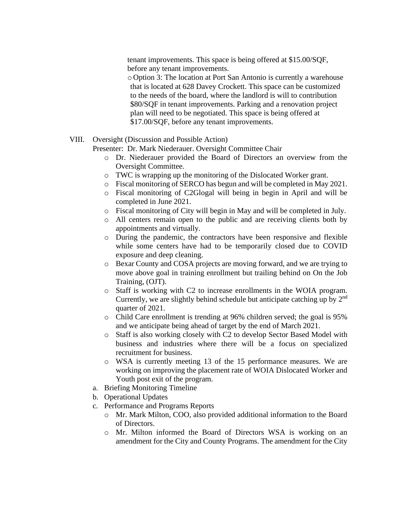tenant improvements. This space is being offered at \$15.00/SQF, before any tenant improvements.

o Option 3: The location at Port San Antonio is currently a warehouse that is located at 628 Davey Crockett. This space can be customized to the needs of the board, where the landlord is will to contribution \$80/SQF in tenant improvements. Parking and a renovation project plan will need to be negotiated. This space is being offered at \$17.00/SQF, before any tenant improvements.

VIII. Oversight (Discussion and Possible Action)

Presenter: Dr. Mark Niederauer. Oversight Committee Chair

- o Dr. Niederauer provided the Board of Directors an overview from the Oversight Committee.
- o TWC is wrapping up the monitoring of the Dislocated Worker grant.
- o Fiscal monitoring of SERCO has begun and will be completed in May 2021.
- o Fiscal monitoring of C2Glogal will being in begin in April and will be completed in June 2021.
- o Fiscal monitoring of City will begin in May and will be completed in July.
- o All centers remain open to the public and are receiving clients both by appointments and virtually.
- o During the pandemic, the contractors have been responsive and flexible while some centers have had to be temporarily closed due to COVID exposure and deep cleaning.
- o Bexar County and COSA projects are moving forward, and we are trying to move above goal in training enrollment but trailing behind on On the Job Training, (OJT).
- o Staff is working with C2 to increase enrollments in the WOIA program. Currently, we are slightly behind schedule but anticipate catching up by 2nd quarter of 2021.
- o Child Care enrollment is trending at 96% children served; the goal is 95% and we anticipate being ahead of target by the end of March 2021.
- o Staff is also working closely with C2 to develop Sector Based Model with business and industries where there will be a focus on specialized recruitment for business.
- o WSA is currently meeting 13 of the 15 performance measures. We are working on improving the placement rate of WOIA Dislocated Worker and Youth post exit of the program.
- a. Briefing Monitoring Timeline
- b. Operational Updates
- c. Performance and Programs Reports
	- o Mr. Mark Milton, COO, also provided additional information to the Board of Directors.
	- o Mr. Milton informed the Board of Directors WSA is working on an amendment for the City and County Programs. The amendment for the City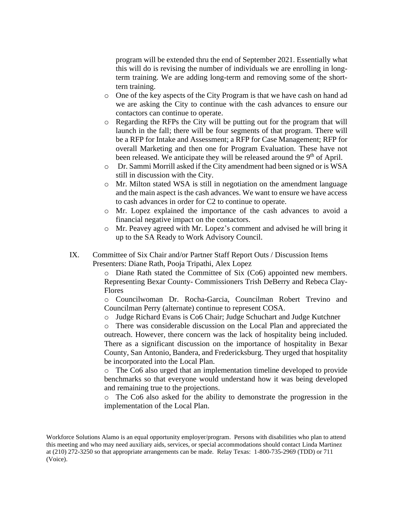program will be extended thru the end of September 2021. Essentially what this will do is revising the number of individuals we are enrolling in longterm training. We are adding long-term and removing some of the shorttern training.

- o One of the key aspects of the City Program is that we have cash on hand ad we are asking the City to continue with the cash advances to ensure our contactors can continue to operate.
- o Regarding the RFPs the City will be putting out for the program that will launch in the fall; there will be four segments of that program. There will be a RFP for Intake and Assessment; a RFP for Case Management; RFP for overall Marketing and then one for Program Evaluation. These have not been released. We anticipate they will be released around the 9<sup>th</sup> of April.
- o Dr. Sammi Morrill asked if the City amendment had been signed or is WSA still in discussion with the City.
- o Mr. Milton stated WSA is still in negotiation on the amendment language and the main aspect is the cash advances. We want to ensure we have access to cash advances in order for C2 to continue to operate.
- o Mr. Lopez explained the importance of the cash advances to avoid a financial negative impact on the contactors.
- o Mr. Peavey agreed with Mr. Lopez's comment and advised he will bring it up to the SA Ready to Work Advisory Council.
- IX. Committee of Six Chair and/or Partner Staff Report Outs / Discussion Items Presenters: Diane Rath, Pooja Tripathi, Alex Lopez

o Diane Rath stated the Committee of Six (Co6) appointed new members. Representing Bexar County- Commissioners Trish DeBerry and Rebeca Clay-Flores

o Councilwoman Dr. Rocha-Garcia, Councilman Robert Trevino and Councilman Perry (alternate) continue to represent COSA.

o Judge Richard Evans is Co6 Chair; Judge Schuchart and Judge Kutchner

o There was considerable discussion on the Local Plan and appreciated the outreach. However, there concern was the lack of hospitality being included. There as a significant discussion on the importance of hospitality in Bexar County, San Antonio, Bandera, and Fredericksburg. They urged that hospitality be incorporated into the Local Plan.

o The Co6 also urged that an implementation timeline developed to provide benchmarks so that everyone would understand how it was being developed and remaining true to the projections.

o The Co6 also asked for the ability to demonstrate the progression in the implementation of the Local Plan.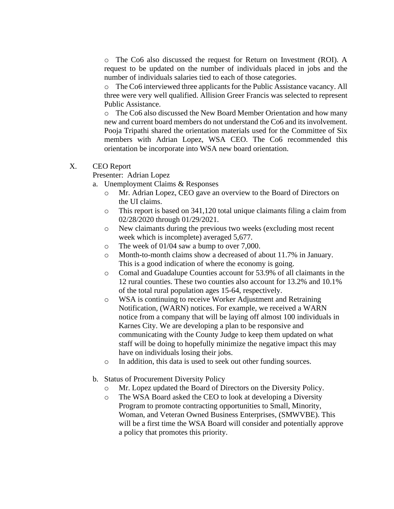o The Co6 also discussed the request for Return on Investment (ROI). A request to be updated on the number of individuals placed in jobs and the number of individuals salaries tied to each of those categories.

o The Co6 interviewed three applicants for the Public Assistance vacancy. All three were very well qualified. Allision Greer Francis was selected to represent Public Assistance.

o The Co6 also discussed the New Board Member Orientation and how many new and current board members do not understand the Co6 and its involvement. Pooja Tripathi shared the orientation materials used for the Committee of Six members with Adrian Lopez, WSA CEO. The Co6 recommended this orientation be incorporate into WSA new board orientation.

### X. CEO Report

Presenter: Adrian Lopez

- a. Unemployment Claims & Responses
	- o Mr. Adrian Lopez, CEO gave an overview to the Board of Directors on the UI claims.
	- o This report is based on 341,120 total unique claimants filing a claim from 02/28/2020 through 01/29/2021.
	- o New claimants during the previous two weeks (excluding most recent week which is incomplete) averaged 5,677.
	- o The week of 01/04 saw a bump to over 7,000.
	- o Month-to-month claims show a decreased of about 11.7% in January. This is a good indication of where the economy is going.
	- o Comal and Guadalupe Counties account for 53.9% of all claimants in the 12 rural counties. These two counties also account for 13.2% and 10.1% of the total rural population ages 15-64, respectively.
	- o WSA is continuing to receive Worker Adjustment and Retraining Notification, (WARN) notices. For example, we received a WARN notice from a company that will be laying off almost 100 individuals in Karnes City. We are developing a plan to be responsive and communicating with the County Judge to keep them updated on what staff will be doing to hopefully minimize the negative impact this may have on individuals losing their jobs.
	- o In addition, this data is used to seek out other funding sources.
- b. Status of Procurement Diversity Policy
	- o Mr. Lopez updated the Board of Directors on the Diversity Policy.
	- o The WSA Board asked the CEO to look at developing a Diversity Program to promote contracting opportunities to Small, Minority, Woman, and Veteran Owned Business Enterprises, (SMWVBE). This will be a first time the WSA Board will consider and potentially approve a policy that promotes this priority.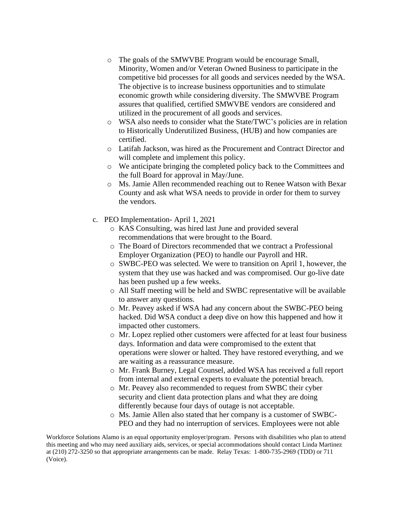- o The goals of the SMWVBE Program would be encourage Small, Minority, Women and/or Veteran Owned Business to participate in the competitive bid processes for all goods and services needed by the WSA. The objective is to increase business opportunities and to stimulate economic growth while considering diversity. The SMWVBE Program assures that qualified, certified SMWVBE vendors are considered and utilized in the procurement of all goods and services.
- o WSA also needs to consider what the State/TWC's policies are in relation to Historically Underutilized Business, (HUB) and how companies are certified.
- o Latifah Jackson, was hired as the Procurement and Contract Director and will complete and implement this policy.
- o We anticipate bringing the completed policy back to the Committees and the full Board for approval in May/June.
- o Ms. Jamie Allen recommended reaching out to Renee Watson with Bexar County and ask what WSA needs to provide in order for them to survey the vendors.
- c. PEO Implementation- April 1, 2021
	- o KAS Consulting, was hired last June and provided several recommendations that were brought to the Board.
	- o The Board of Directors recommended that we contract a Professional Employer Organization (PEO) to handle our Payroll and HR.
	- o SWBC-PEO was selected. We were to transition on April 1, however, the system that they use was hacked and was compromised. Our go-live date has been pushed up a few weeks.
	- o All Staff meeting will be held and SWBC representative will be available to answer any questions.
	- o Mr. Peavey asked if WSA had any concern about the SWBC-PEO being hacked. Did WSA conduct a deep dive on how this happened and how it impacted other customers.
	- o Mr. Lopez replied other customers were affected for at least four business days. Information and data were compromised to the extent that operations were slower or halted. They have restored everything, and we are waiting as a reassurance measure.
	- o Mr. Frank Burney, Legal Counsel, added WSA has received a full report from internal and external experts to evaluate the potential breach.
	- o Mr. Peavey also recommended to request from SWBC their cyber security and client data protection plans and what they are doing differently because four days of outage is not acceptable.
	- o Ms. Jamie Allen also stated that her company is a customer of SWBC-PEO and they had no interruption of services. Employees were not able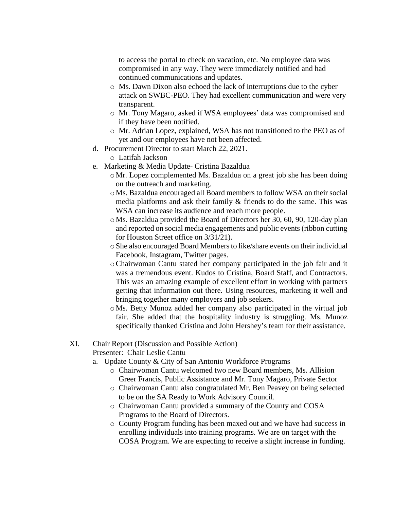to access the portal to check on vacation, etc. No employee data was compromised in any way. They were immediately notified and had continued communications and updates.

- o Ms. Dawn Dixon also echoed the lack of interruptions due to the cyber attack on SWBC-PEO. They had excellent communication and were very transparent.
- o Mr. Tony Magaro, asked if WSA employees' data was compromised and if they have been notified.
- o Mr. Adrian Lopez, explained, WSA has not transitioned to the PEO as of yet and our employees have not been affected.
- d. Procurement Director to start March 22, 2021.

o Latifah Jackson

- e. Marketing & Media Update- Cristina Bazaldua
	- o Mr. Lopez complemented Ms. Bazaldua on a great job she has been doing on the outreach and marketing.
	- o Ms. Bazaldua encouraged all Board members to follow WSA on their social media platforms and ask their family & friends to do the same. This was WSA can increase its audience and reach more people.
	- o Ms. Bazaldua provided the Board of Directors her 30, 60, 90, 120-day plan and reported on social media engagements and public events (ribbon cutting for Houston Street office on 3/31/21).
	- oShe also encouraged Board Members to like/share events on their individual Facebook, Instagram, Twitter pages.
	- oChairwoman Cantu stated her company participated in the job fair and it was a tremendous event. Kudos to Cristina, Board Staff, and Contractors. This was an amazing example of excellent effort in working with partners getting that information out there. Using resources, marketing it well and bringing together many employers and job seekers.
	- o Ms. Betty Munoz added her company also participated in the virtual job fair. She added that the hospitality industry is struggling. Ms. Munoz specifically thanked Cristina and John Hershey's team for their assistance.

## XI. Chair Report (Discussion and Possible Action)

Presenter: Chair Leslie Cantu

- a. Update County & City of San Antonio Workforce Programs
	- o Chairwoman Cantu welcomed two new Board members, Ms. Allision Greer Francis, Public Assistance and Mr. Tony Magaro, Private Sector
	- o Chairwoman Cantu also congratulated Mr. Ben Peavey on being selected to be on the SA Ready to Work Advisory Council.
	- o Chairwoman Cantu provided a summary of the County and COSA Programs to the Board of Directors.
	- o County Program funding has been maxed out and we have had success in enrolling individuals into training programs. We are on target with the COSA Program. We are expecting to receive a slight increase in funding.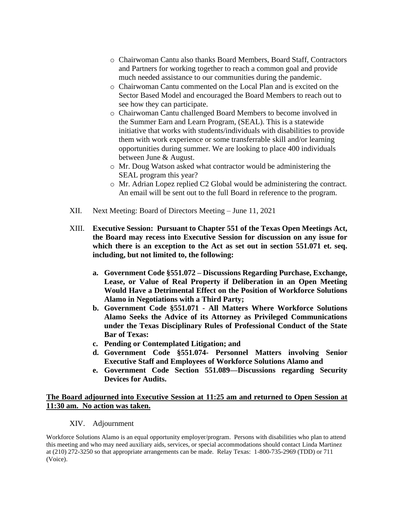- o Chairwoman Cantu also thanks Board Members, Board Staff, Contractors and Partners for working together to reach a common goal and provide much needed assistance to our communities during the pandemic.
- o Chairwoman Cantu commented on the Local Plan and is excited on the Sector Based Model and encouraged the Board Members to reach out to see how they can participate.
- o Chairwoman Cantu challenged Board Members to become involved in the Summer Earn and Learn Program, (SEAL). This is a statewide initiative that works with students/individuals with disabilities to provide them with work experience or some transferrable skill and/or learning opportunities during summer. We are looking to place 400 individuals between June & August.
- o Mr. Doug Watson asked what contractor would be administering the SEAL program this year?
- o Mr. Adrian Lopez replied C2 Global would be administering the contract. An email will be sent out to the full Board in reference to the program.
- XII. Next Meeting: Board of Directors Meeting June 11, 2021
- XIII. **Executive Session: Pursuant to Chapter 551 of the Texas Open Meetings Act, the Board may recess into Executive Session for discussion on any issue for which there is an exception to the Act as set out in section 551.071 et. seq. including, but not limited to, the following:** 
	- **a. Government Code §551.072 – Discussions Regarding Purchase, Exchange, Lease, or Value of Real Property if Deliberation in an Open Meeting Would Have a Detrimental Effect on the Position of Workforce Solutions Alamo in Negotiations with a Third Party;**
	- **b. Government Code §551.071 - All Matters Where Workforce Solutions Alamo Seeks the Advice of its Attorney as Privileged Communications under the Texas Disciplinary Rules of Professional Conduct of the State Bar of Texas:**
	- **c. Pending or Contemplated Litigation; and**
	- **d. Government Code §551.074- Personnel Matters involving Senior Executive Staff and Employees of Workforce Solutions Alamo and**
	- **e. Government Code Section 551.089—Discussions regarding Security Devices for Audits.**

## **The Board adjourned into Executive Session at 11:25 am and returned to Open Session at 11:30 am. No action was taken.**

XIV. Adjournment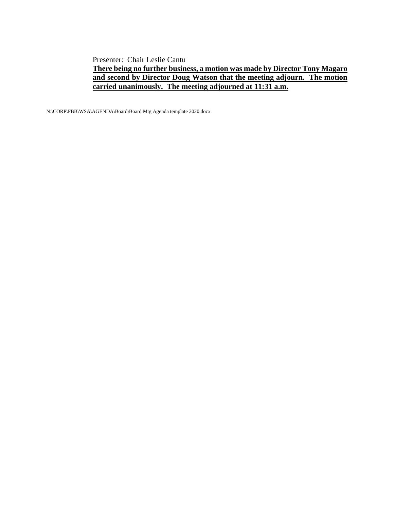Presenter: Chair Leslie Cantu

# **There being no further business, a motion was made by Director Tony Magaro and second by Director Doug Watson that the meeting adjourn. The motion carried unanimously. The meeting adjourned at 11:31 a.m.**

N:\CORP\FBB\WSA\AGENDA\Board\Board Mtg Agenda template 2020.docx